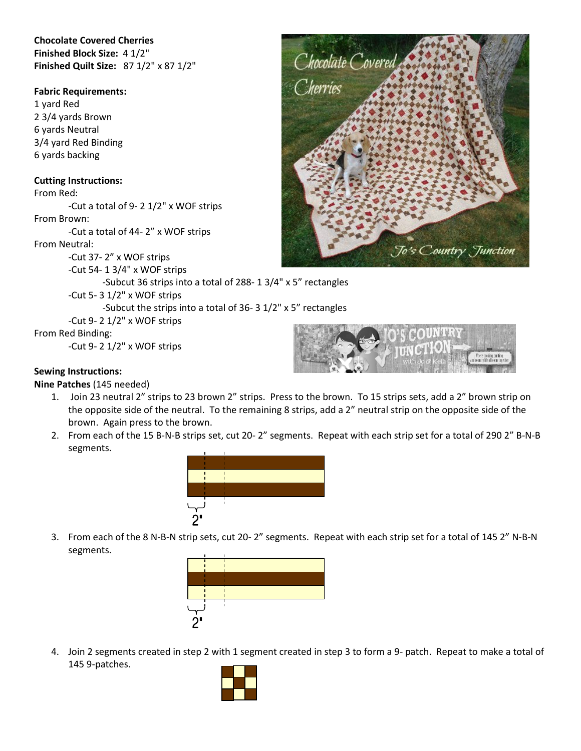**Chocolate Covered Cherries Finished Block Size:** 4 1/2" **Finished Quilt Size:** 87 1/2" x 87 1/2"

# **Fabric Requirements:**

1 yard Red 2 3/4 yards Brown 6 yards Neutral 3/4 yard Red Binding 6 yards backing

# **Cutting Instructions:**

From Red: -Cut a total of 9- 2 1/2" x WOF strips From Brown:

-Cut a total of 44- 2" x WOF strips

From Neutral:

-Cut 37- 2" x WOF strips

-Cut 54- 1 3/4" x WOF strips

 -Subcut 36 strips into a total of 288- 1 3/4" x 5" rectangles -Cut 5- 3 1/2" x WOF strips

-Subcut the strips into a total of 36- 3 1/2" x 5" rectangles

-Cut 9- 2 1/2" x WOF strips

From Red Binding:

-Cut 9- 2 1/2" x WOF strips

# **Sewing Instructions:**

**Nine Patches** (145 needed)

- 1. Join 23 neutral 2" strips to 23 brown 2" strips. Press to the brown. To 15 strips sets, add a 2" brown strip on the opposite side of the neutral. To the remaining 8 strips, add a 2" neutral strip on the opposite side of the brown. Again press to the brown.
- 2. From each of the 15 B-N-B strips set, cut 20- 2" segments. Repeat with each strip set for a total of 290 2" B-N-B segments.



3. From each of the 8 N-B-N strip sets, cut 20- 2" segments. Repeat with each strip set for a total of 145 2" N-B-N segments.



4. Join 2 segments created in step 2 with 1 segment created in step 3 to form a 9- patch. Repeat to make a total of 145 9-patches.





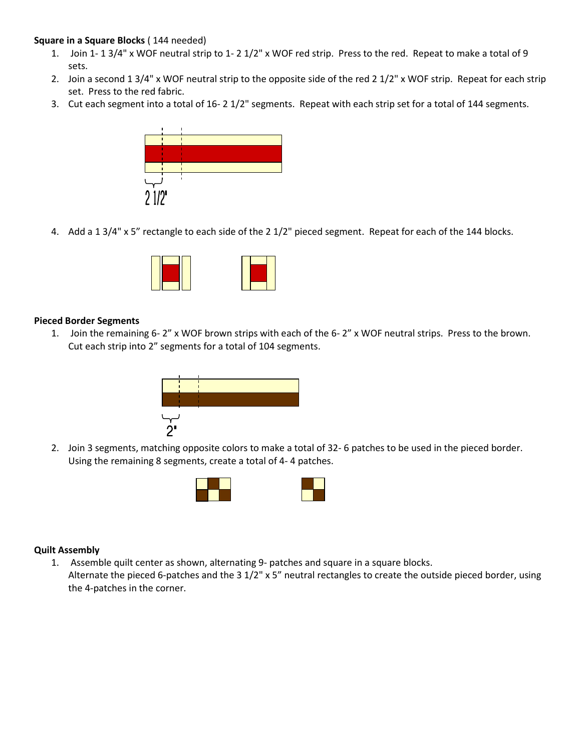### **Square in a Square Blocks** ( 144 needed)

- 1. Join 1- 1 3/4" x WOF neutral strip to 1- 2 1/2" x WOF red strip. Press to the red. Repeat to make a total of 9 sets.
- 2. Join a second 1 3/4" x WOF neutral strip to the opposite side of the red 2 1/2" x WOF strip. Repeat for each strip set. Press to the red fabric.
- 3. Cut each segment into a total of 16- 2 1/2" segments. Repeat with each strip set for a total of 144 segments.



4. Add a 1 3/4" x 5" rectangle to each side of the 2 1/2" pieced segment. Repeat for each of the 144 blocks.



#### **Pieced Border Segments**

1. Join the remaining 6- 2" x WOF brown strips with each of the 6- 2" x WOF neutral strips. Press to the brown. Cut each strip into 2" segments for a total of 104 segments.



2. Join 3 segments, matching opposite colors to make a total of 32- 6 patches to be used in the pieced border. Using the remaining 8 segments, create a total of 4- 4 patches.



### **Quilt Assembly**

1. Assemble quilt center as shown, alternating 9- patches and square in a square blocks. Alternate the pieced 6-patches and the 3 1/2" x 5" neutral rectangles to create the outside pieced border, using the 4-patches in the corner.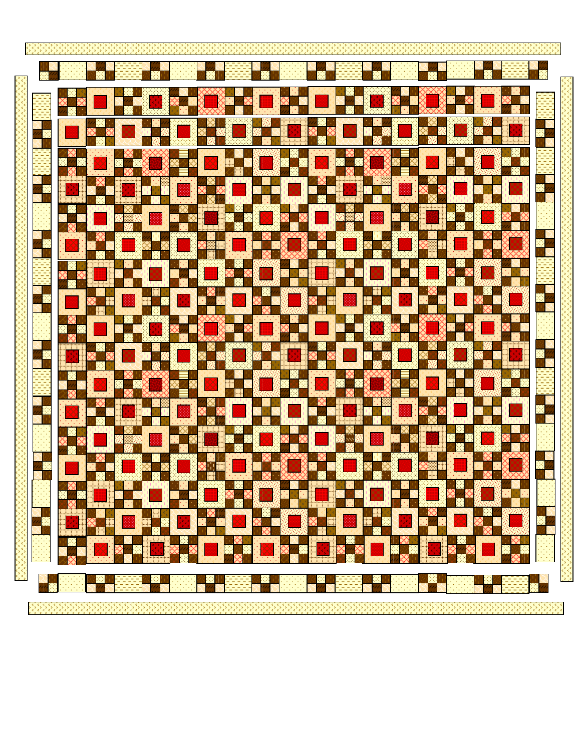